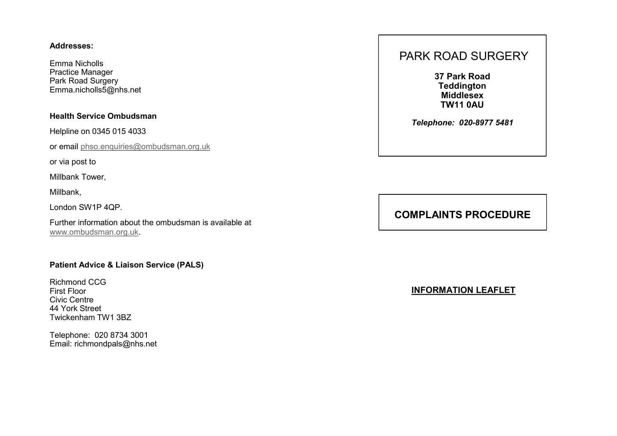#### **Addresses:**

Emma Nicholls Practice Manager Park Road Surgery Emma.nicholls5@nhs.net

### **Health Service Ombudsman**

Helpline on 0345 015 4033

or email [phso.enquiries@ombudsman.org.uk](mailto:phso.enquiries@ombudsman.org.uk)

or via post to

Millbank Tower,

Millbank,

London SW1P 4QP.

Further information about the ombudsman is available at [www.ombudsman.org.uk.](http://www.ombudsman.org.uk)

### **Patient Advice & Liaison Service (PALS)**

Richmond CCG First Floor Civic Centre 44 York Street Twickenham TW1 3BZ

Telephone: 020 8734 3001 Email: richmondpals@nhs.net

# PARK ROAD SURGERY

**37 Park Road Teddington Middlesex TW11 0AU**

*Telephone: 020-8977 5481*

## **COMPLAINTS PROCEDURE**

**INFORMATION LEAFLET**